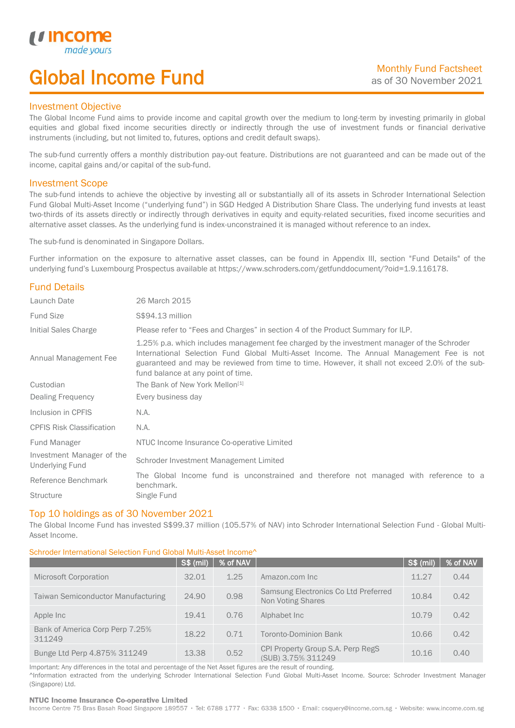# Global Income Fund

### Investment Objective

u incor

I

The Global Income Fund aims to provide income and capital growth over the medium to long-term by investing primarily in global equities and global fixed income securities directly or indirectly through the use of investment funds or financial derivative instruments (including, but not limited to, futures, options and credit default swaps).

The sub-fund currently offers a monthly distribution pay-out feature. Distributions are not guaranteed and can be made out of the income, capital gains and/or capital of the sub-fund.

### Investment Scope

The sub-fund intends to achieve the objective by investing all or substantially all of its assets in Schroder International Selection Fund Global Multi-Asset Income ("underlying fund") in SGD Hedged A Distribution Share Class. The underlying fund invests at least two-thirds of its assets directly or indirectly through derivatives in equity and equity-related securities, fixed income securities and alternative asset classes. As the underlying fund is index-unconstrained it is managed without reference to an index.

The sub-fund is denominated in Singapore Dollars.

Further information on the exposure to alternative asset classes, can be found in Appendix III, section "Fund Details" of the underlying fund's Luxembourg Prospectus available at https://www.schroders.com/getfunddocument/?oid=1.9.116178.

### Fund Details

| Launch Date                                         | 26 March 2015                                                                                                                                                                                                                                                                                                                   |  |  |  |  |
|-----------------------------------------------------|---------------------------------------------------------------------------------------------------------------------------------------------------------------------------------------------------------------------------------------------------------------------------------------------------------------------------------|--|--|--|--|
| <b>Fund Size</b>                                    | S\$94.13 million                                                                                                                                                                                                                                                                                                                |  |  |  |  |
| Initial Sales Charge                                | Please refer to "Fees and Charges" in section 4 of the Product Summary for ILP.                                                                                                                                                                                                                                                 |  |  |  |  |
| Annual Management Fee                               | 1.25% p.a. which includes management fee charged by the investment manager of the Schroder<br>International Selection Fund Global Multi-Asset Income. The Annual Management Fee is not<br>guaranteed and may be reviewed from time to time. However, it shall not exceed 2.0% of the sub-<br>fund balance at any point of time. |  |  |  |  |
| Custodian                                           | The Bank of New York Mellon <sup>[1]</sup>                                                                                                                                                                                                                                                                                      |  |  |  |  |
| Dealing Frequency                                   | Every business day                                                                                                                                                                                                                                                                                                              |  |  |  |  |
| Inclusion in CPFIS                                  | N.A.                                                                                                                                                                                                                                                                                                                            |  |  |  |  |
| <b>CPFIS Risk Classification</b>                    | N.A.                                                                                                                                                                                                                                                                                                                            |  |  |  |  |
| Fund Manager                                        | NTUC Income Insurance Co-operative Limited                                                                                                                                                                                                                                                                                      |  |  |  |  |
| Investment Manager of the<br><b>Underlying Fund</b> | Schroder Investment Management Limited                                                                                                                                                                                                                                                                                          |  |  |  |  |
| Reference Benchmark                                 | The Global Income fund is unconstrained and therefore not managed with reference to a<br>benchmark.                                                                                                                                                                                                                             |  |  |  |  |
| <b>Structure</b>                                    | Single Fund                                                                                                                                                                                                                                                                                                                     |  |  |  |  |

### Top 10 holdings as of 30 November 2021

The Global Income Fund has invested S\$99.37 million (105.57% of NAV) into Schroder International Selection Fund - Global Multi-Asset Income.

### Schroder International Selection Fund Global Multi-Asset Income^

|                                           | S\$ (mil) | % of NAV |                                                                  | S\$ (mil) | % of NAV |
|-------------------------------------------|-----------|----------|------------------------------------------------------------------|-----------|----------|
| <b>Microsoft Corporation</b>              | 32.01     | 1.25     | Amazon.com Inc.                                                  | 11.27     | 0.44     |
| Taiwan Semiconductor Manufacturing        | 24.90     | 0.98     | Samsung Electronics Co Ltd Preferred<br><b>Non Voting Shares</b> | 10.84     | 0.42     |
| Apple Inc                                 | 19.41     | 0.76     | Alphabet Inc                                                     | 10.79     | 0.42     |
| Bank of America Corp Perp 7.25%<br>311249 | 18.22     | 0.71     | <b>Toronto-Dominion Bank</b>                                     | 10.66     | 0.42     |
| Bunge Ltd Perp 4.875% 311249              | 13.38     | 0.52     | CPI Property Group S.A. Perp RegS<br>(SUB) 3.75% 311249          | 10.16     | 0.40     |

Important: Any differences in the total and percentage of the Net Asset figures are the result of rounding. ^Information extracted from the underlying Schroder International Selection Fund Global Multi-Asset Income. Source: Schroder Investment Manager (Singapore) Ltd.

#### NTUC Income Insurance Co-operative Limited

Income Centre 75 Bras Basah Road Singapore 189557 · Tel: 6788 1777 · Fax: 6338 1500 · Email: csquery@income.com.sg · Website: www.income.com.sg